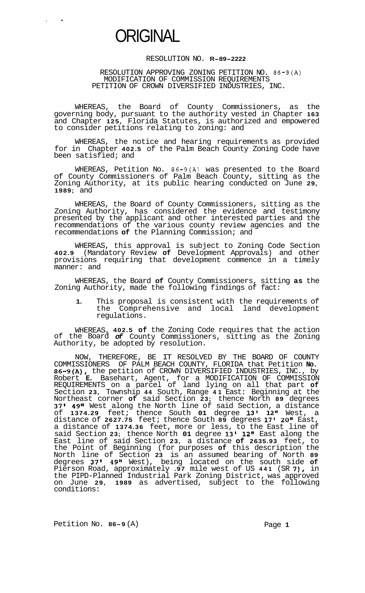

 $\zeta$  ,  $\zeta$  ,  $\zeta$  ,  $\zeta$ 

## RESOLUTION NO. **R-89-2222**

RESOLUTION APPROVING ZONING PETITION NO. 86-9(A) MODIFICATION OF COMMISSION REQUIREMENTS PETITION OF CROWN DIVERSIFIED INDUSTRIES, INC.

WHEREAS, the Board of County Commissioners, as the governing body, pursuant to the authority vested in Chapter **163**  and Chapter **125,** Florida Statutes, is authorized and empowered to consider petitions relating to zoning: and

WHEREAS, the notice and hearing requirements as provided for in Chapter **402.5** of the Palm Beach County Zoning Code have been satisfied; and

WHEREAS, Petition No. 86-9(A) was presented to the Board of County Commissioners of Palm Beach County, sitting as the Zoning Authority, at its public hearing conducted on June **29, 1989;** and

WHEREAS, the Board of County Commissioners, sitting as the Zoning Authority, has considered the evidence and testimony presented by the applicant and other interested parties and the recommendations of the various county review agencies and the recommendations **of** the Planning Commission; and

WHEREAS, this approval is subject to Zoning Code Section **402.9** (Mandatory Review **of** Development Approvals) and other provisions requiring that development commence in a timely manner: and

WHEREAS, the Board **of** County Commissioners, sitting **as** the Zoning Authority, made the following findings of fact:

**1.** This proposal is consistent with the requirements of the Comprehensive and local land development regulations.

WHEREAS, **402.5 of** the Zoning Code requires that the action of the Board *of* County Commissioners, sitting as the Zoning Authority, be adopted by resolution.

NOW, THEREFORE, BE IT RESOLVED BY THE BOARD OF COUNTY COMMISSIONERS OF PALM BEACH COUNTY, FLORIDA that Petition **No. 86-9(A),** the petition of CROWN DIVERSIFIED INDUSTRIES, INC., by Robert **E.** Basehart, Agent, for a MODIFICATION OF COMMISSION REQUIREMENTS on a parcel of land lying on all that part **of**  Section **23,** Township **44** South, Range **41** East: Beginning at the Northeast corner **of** said Section **23;** thence North **89** degrees **37' 49"** West along the North line of said Section, a distance of **1374.29** feet; thence South **01** degree **13' 12"** West, a distance of **2627.75** feet; thence South **89** degrees **17' 20"** East, a distance of **1374.36** feet, more or less, to the East line of said Section **23;** thence North **01** degree **13' 12"** East along the East line of said Section **23,** a distance **of 2635.93** feet, to the Point of Beginning (for purposes **of** this description the North line of Section **23** is an assumed bearing of North **89**  degrees **37l 49"** West), being located on the south side **of**  Pierson Road, approximately **.97** mile west of US **441** (SR **7),** in the PIPD-Planned Industrial Park Zoning District, was approved on June **29, 1989** as advertised, subject to the following conditions:

Petition No. 86-9 (A) Page 1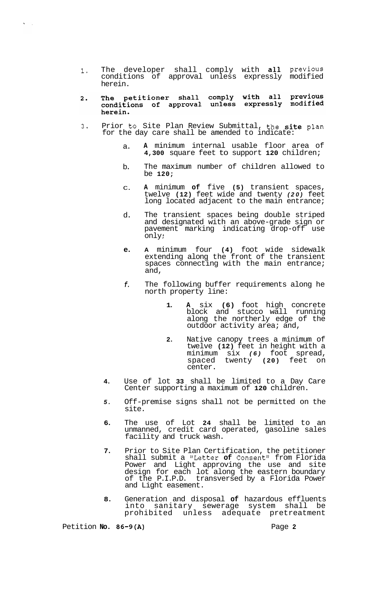- **1.** The developer shall comply with all Previous conditions of approval unless expressly modified herein.
- The petitioner shall comply with all previous<br>conditions of approval unless expressly modified  $2.$ herein.
- **3.** Prior to Site Plan Review Submittal, the site plan for the day care shall be amended to indicate:
	- a. **A** minimum internal usable floor area of **4,300** square feet to support **120** children;
	- b. The maximum number of children allowed to be **120;**
	- $\Gamma$ **A** minimum **of** five **(5)** transient spaces, twelve **(12)** feet wide and twenty *(20)* feet long located adjacent to the main entrance;
	- d. The transient spaces being double striped and designated with an above-grade sign or pavement marking indicating drop-off use only ;
	- **e. A** minimum four **(4)** foot wide sidewalk extending along the front of the transient spaces connecting with the main entrance; and,
	- *f.*  The following buffer requirements along he north property line:
		- **1. A** six **(6)** foot high concrete block and stucco wall running along the northerly edge of the outdoor activity area; and,
		- **2.** Native canopy trees a minimum of twelve **(12)** feet in height with a minimum six *(6)* foot spread, spaced twenty **(20)** feet on center.
	- **4.** Use of lot **33** shall be limited to a Day Care Center supporting a maximum of **120** children.
	- *5.* Off-premise signs shall not be permitted on the site.
	- **6.** The use of Lot **24** shall be limited to an unmanned, credit card operated, gasoline sales facility and truck wash.
	- **7.** Prior to Site Plan Certification, the petitioner shall submit a "Letter of Consent" from Florida Power and Light approving the use and site design for each lot along the eastern boundary of the P.I.P.D. transversed by a Florida Power and Light easement.
	- **8.** Generation and disposal **of** hazardous effluents into sanitary sewerage system shall be prohibited unless adequate pretreatment

Petition **No. 86-9(A) Page 2** 

 $\mathbf{X} \in \mathbb{R}^d$